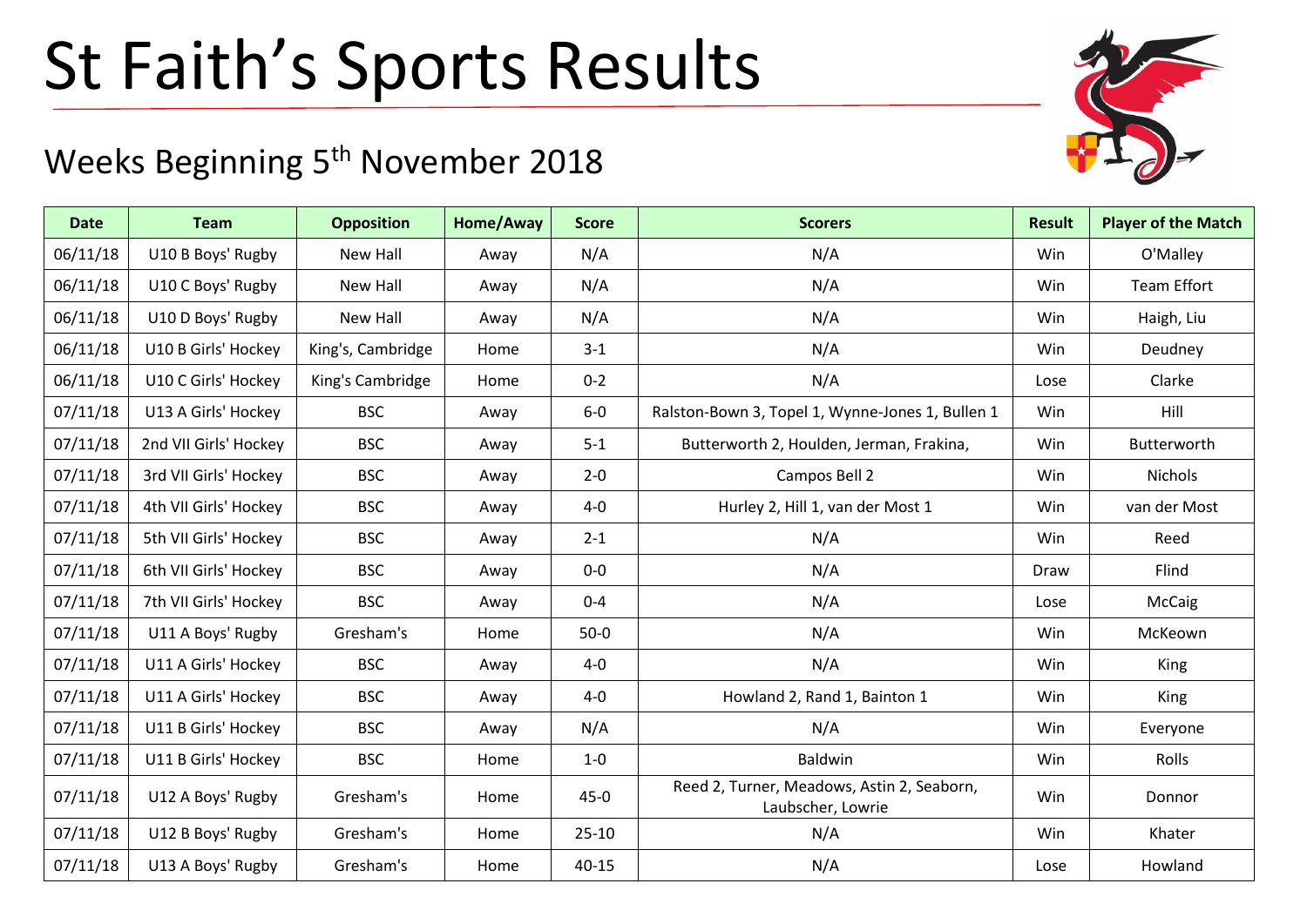## St Faith's Sports Results

## Weeks Beginning 5<sup>th</sup> November 2018

| <b>Date</b> | <b>Team</b>           | <b>Opposition</b> | Home/Away | <b>Score</b> | <b>Scorers</b>                                                  | <b>Result</b> | <b>Player of the Match</b> |
|-------------|-----------------------|-------------------|-----------|--------------|-----------------------------------------------------------------|---------------|----------------------------|
| 06/11/18    | U10 B Boys' Rugby     | <b>New Hall</b>   | Away      | N/A          | N/A                                                             | Win           | O'Malley                   |
| 06/11/18    | U10 C Boys' Rugby     | New Hall          | Away      | N/A          | N/A                                                             | Win           | Team Effort                |
| 06/11/18    | U10 D Boys' Rugby     | <b>New Hall</b>   | Away      | N/A          | N/A                                                             | Win           | Haigh, Liu                 |
| 06/11/18    | U10 B Girls' Hockey   | King's, Cambridge | Home      | $3 - 1$      | N/A                                                             | Win           | Deudney                    |
| 06/11/18    | U10 C Girls' Hockey   | King's Cambridge  | Home      | $0 - 2$      | N/A                                                             | Lose          | Clarke                     |
| 07/11/18    | U13 A Girls' Hockey   | <b>BSC</b>        | Away      | $6-0$        | Ralston-Bown 3, Topel 1, Wynne-Jones 1, Bullen 1                | Win           | Hill                       |
| 07/11/18    | 2nd VII Girls' Hockey | <b>BSC</b>        | Away      | $5 - 1$      | Butterworth 2, Houlden, Jerman, Frakina,                        | Win           | Butterworth                |
| 07/11/18    | 3rd VII Girls' Hockey | <b>BSC</b>        | Away      | $2 - 0$      | Campos Bell 2                                                   | Win           | Nichols                    |
| 07/11/18    | 4th VII Girls' Hockey | <b>BSC</b>        | Away      | $4-0$        | Hurley 2, Hill 1, van der Most 1                                | Win           | van der Most               |
| 07/11/18    | 5th VII Girls' Hockey | <b>BSC</b>        | Away      | $2 - 1$      | N/A                                                             | Win           | Reed                       |
| 07/11/18    | 6th VII Girls' Hockey | <b>BSC</b>        | Away      | $0-0$        | N/A                                                             | Draw          | Flind                      |
| 07/11/18    | 7th VII Girls' Hockey | <b>BSC</b>        | Away      | $0 - 4$      | N/A                                                             | Lose          | McCaig                     |
| 07/11/18    | U11 A Boys' Rugby     | Gresham's         | Home      | $50-0$       | N/A                                                             | Win           | McKeown                    |
| 07/11/18    | U11 A Girls' Hockey   | <b>BSC</b>        | Away      | $4-0$        | N/A                                                             | Win           | <b>King</b>                |
| 07/11/18    | U11 A Girls' Hockey   | <b>BSC</b>        | Away      | $4-0$        | Howland 2, Rand 1, Bainton 1                                    | Win           | <b>King</b>                |
| 07/11/18    | U11 B Girls' Hockey   | <b>BSC</b>        | Away      | N/A          | N/A                                                             | Win           | Everyone                   |
| 07/11/18    | U11 B Girls' Hockey   | <b>BSC</b>        | Home      | $1-0$        | Baldwin                                                         | Win           | Rolls                      |
| 07/11/18    | U12 A Boys' Rugby     | Gresham's         | Home      | $45 - 0$     | Reed 2, Turner, Meadows, Astin 2, Seaborn,<br>Laubscher, Lowrie | Win           | Donnor                     |
| 07/11/18    | U12 B Boys' Rugby     | Gresham's         | Home      | $25 - 10$    | N/A                                                             | Win           | Khater                     |
| 07/11/18    | U13 A Boys' Rugby     | Gresham's         | Home      | $40 - 15$    | N/A                                                             | Lose          | Howland                    |